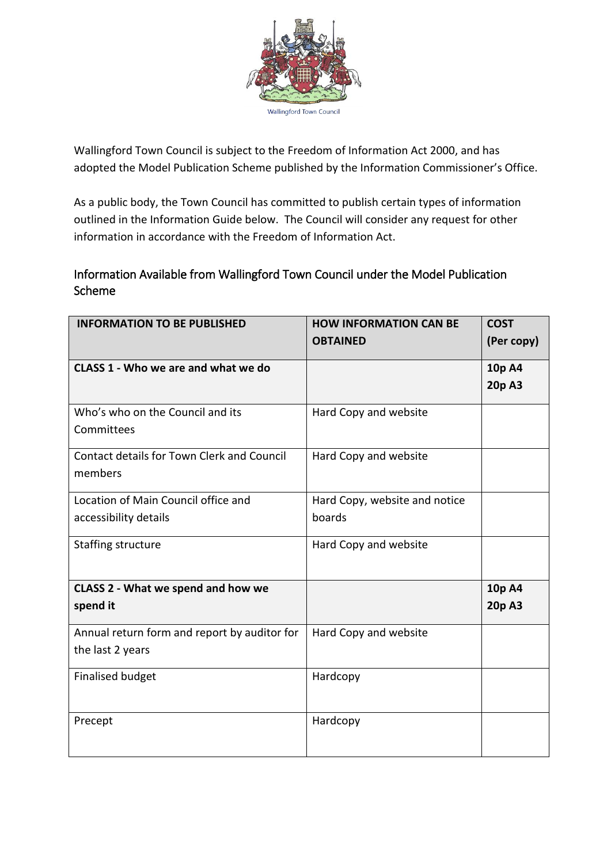

Wallingford Town Council is subject to the Freedom of Information Act 2000, and has adopted the Model Publication Scheme published by the Information Commissioner's Office.

As a public body, the Town Council has committed to publish certain types of information outlined in the Information Guide below. The Council will consider any request for other information in accordance with the Freedom of Information Act.

## Information Available from Wallingford Town Council under the Model Publication Scheme

| <b>INFORMATION TO BE PUBLISHED</b>                               | <b>HOW INFORMATION CAN BE</b><br><b>OBTAINED</b> | <b>COST</b><br>(Per copy) |
|------------------------------------------------------------------|--------------------------------------------------|---------------------------|
| CLASS 1 - Who we are and what we do                              |                                                  | 10p A4<br>20p A3          |
| Who's who on the Council and its<br>Committees                   | Hard Copy and website                            |                           |
| <b>Contact details for Town Clerk and Council</b><br>members     | Hard Copy and website                            |                           |
| Location of Main Council office and<br>accessibility details     | Hard Copy, website and notice<br>boards          |                           |
| <b>Staffing structure</b>                                        | Hard Copy and website                            |                           |
| <b>CLASS 2 - What we spend and how we</b><br>spend it            |                                                  | 10p A4<br>20p A3          |
| Annual return form and report by auditor for<br>the last 2 years | Hard Copy and website                            |                           |
| <b>Finalised budget</b>                                          | Hardcopy                                         |                           |
| Precept                                                          | Hardcopy                                         |                           |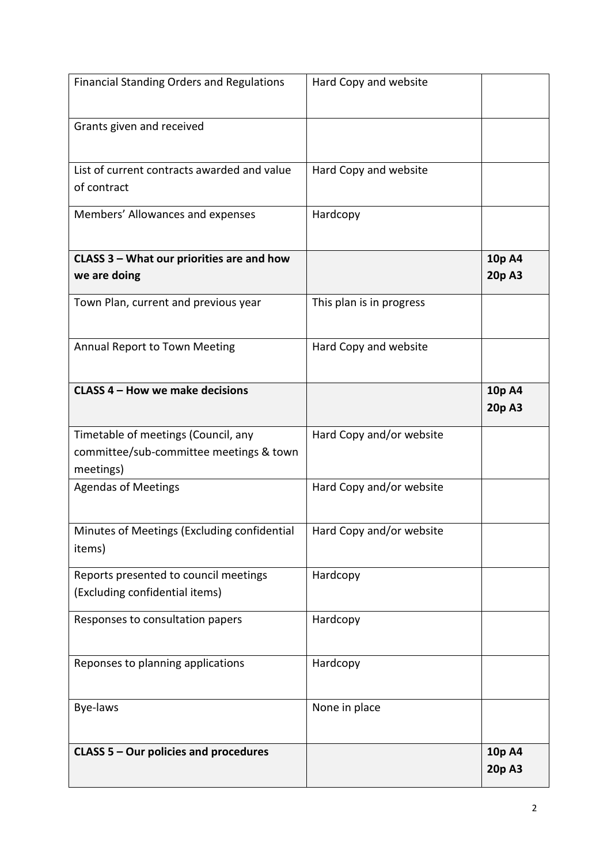| <b>Financial Standing Orders and Regulations</b>                                            | Hard Copy and website    |                  |
|---------------------------------------------------------------------------------------------|--------------------------|------------------|
| Grants given and received                                                                   |                          |                  |
| List of current contracts awarded and value<br>of contract                                  | Hard Copy and website    |                  |
| Members' Allowances and expenses                                                            | Hardcopy                 |                  |
| CLASS 3 - What our priorities are and how                                                   |                          | 10p A4           |
| we are doing                                                                                |                          | 20p A3           |
| Town Plan, current and previous year                                                        | This plan is in progress |                  |
| Annual Report to Town Meeting                                                               | Hard Copy and website    |                  |
| CLASS 4 - How we make decisions                                                             |                          | 10p A4<br>20p A3 |
| Timetable of meetings (Council, any<br>committee/sub-committee meetings & town<br>meetings) | Hard Copy and/or website |                  |
| <b>Agendas of Meetings</b>                                                                  | Hard Copy and/or website |                  |
| Minutes of Meetings (Excluding confidential<br>items)                                       | Hard Copy and/or website |                  |
| Reports presented to council meetings<br>(Excluding confidential items)                     | Hardcopy                 |                  |
| Responses to consultation papers                                                            | Hardcopy                 |                  |
| Reponses to planning applications                                                           | Hardcopy                 |                  |
| Bye-laws                                                                                    | None in place            |                  |
| CLASS 5 - Our policies and procedures                                                       |                          | 10p A4<br>20p A3 |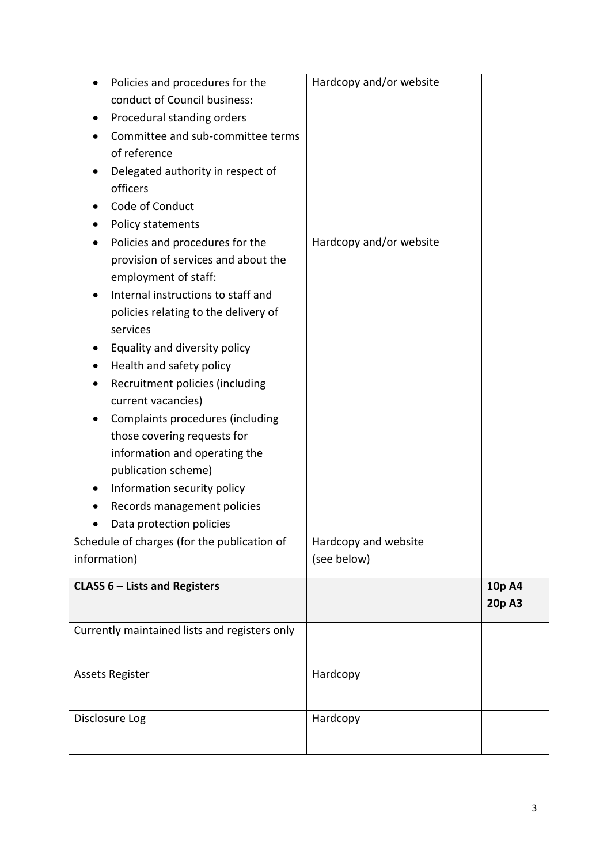| Policies and procedures for the               | Hardcopy and/or website |        |
|-----------------------------------------------|-------------------------|--------|
| conduct of Council business:                  |                         |        |
| Procedural standing orders                    |                         |        |
| Committee and sub-committee terms             |                         |        |
| of reference                                  |                         |        |
| Delegated authority in respect of             |                         |        |
| officers                                      |                         |        |
| Code of Conduct                               |                         |        |
| Policy statements                             |                         |        |
| Policies and procedures for the<br>$\bullet$  | Hardcopy and/or website |        |
| provision of services and about the           |                         |        |
| employment of staff:                          |                         |        |
| Internal instructions to staff and            |                         |        |
| policies relating to the delivery of          |                         |        |
| services                                      |                         |        |
| Equality and diversity policy                 |                         |        |
| Health and safety policy                      |                         |        |
| Recruitment policies (including               |                         |        |
| current vacancies)                            |                         |        |
| Complaints procedures (including              |                         |        |
| those covering requests for                   |                         |        |
| information and operating the                 |                         |        |
| publication scheme)                           |                         |        |
| Information security policy                   |                         |        |
| Records management policies                   |                         |        |
| Data protection policies                      |                         |        |
| Schedule of charges (for the publication of   | Hardcopy and website    |        |
| information)                                  | (see below)             |        |
|                                               |                         |        |
| <b>CLASS 6 - Lists and Registers</b>          |                         | 10p A4 |
|                                               |                         | 20p A3 |
| Currently maintained lists and registers only |                         |        |
|                                               |                         |        |
|                                               | Hardcopy                |        |
| <b>Assets Register</b>                        |                         |        |
|                                               |                         |        |
| Disclosure Log                                | Hardcopy                |        |
|                                               |                         |        |
|                                               |                         |        |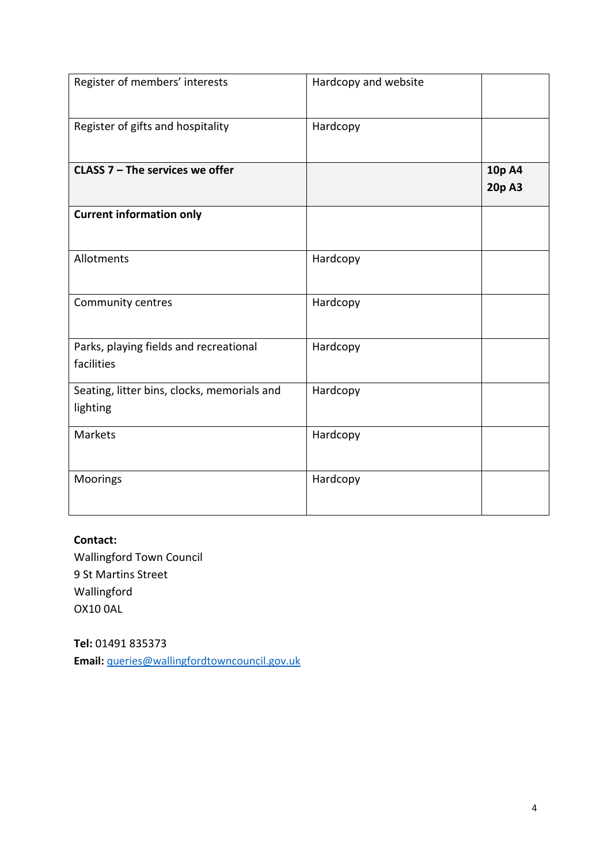| Register of members' interests                          | Hardcopy and website |                  |
|---------------------------------------------------------|----------------------|------------------|
| Register of gifts and hospitality                       | Hardcopy             |                  |
| CLASS $7$ – The services we offer                       |                      | 10p A4<br>20p A3 |
| <b>Current information only</b>                         |                      |                  |
| Allotments                                              | Hardcopy             |                  |
| Community centres                                       | Hardcopy             |                  |
| Parks, playing fields and recreational<br>facilities    | Hardcopy             |                  |
| Seating, litter bins, clocks, memorials and<br>lighting | Hardcopy             |                  |
| Markets                                                 | Hardcopy             |                  |
| Moorings                                                | Hardcopy             |                  |

**Contact:**  Wallingford Town Council 9 St Martins Street Wallingford OX10 0AL

**Tel:** 01491 835373 **Email:** [queries@wallingfordtowncouncil.gov.uk](mailto:queries@wallingfordtowncouncil.gov.uk)